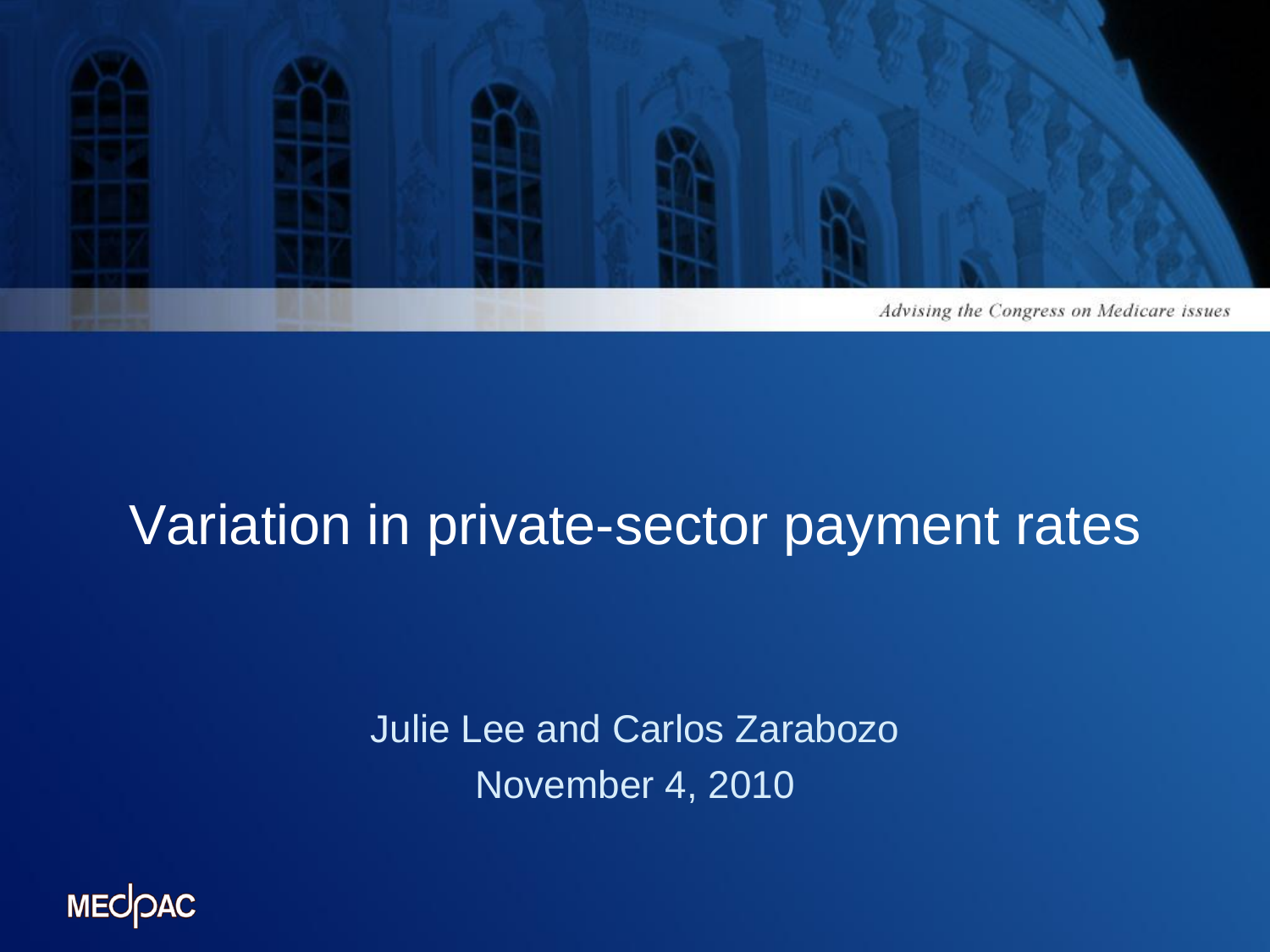

## Variation in private-sector payment rates

Julie Lee and Carlos Zarabozo November 4, 2010

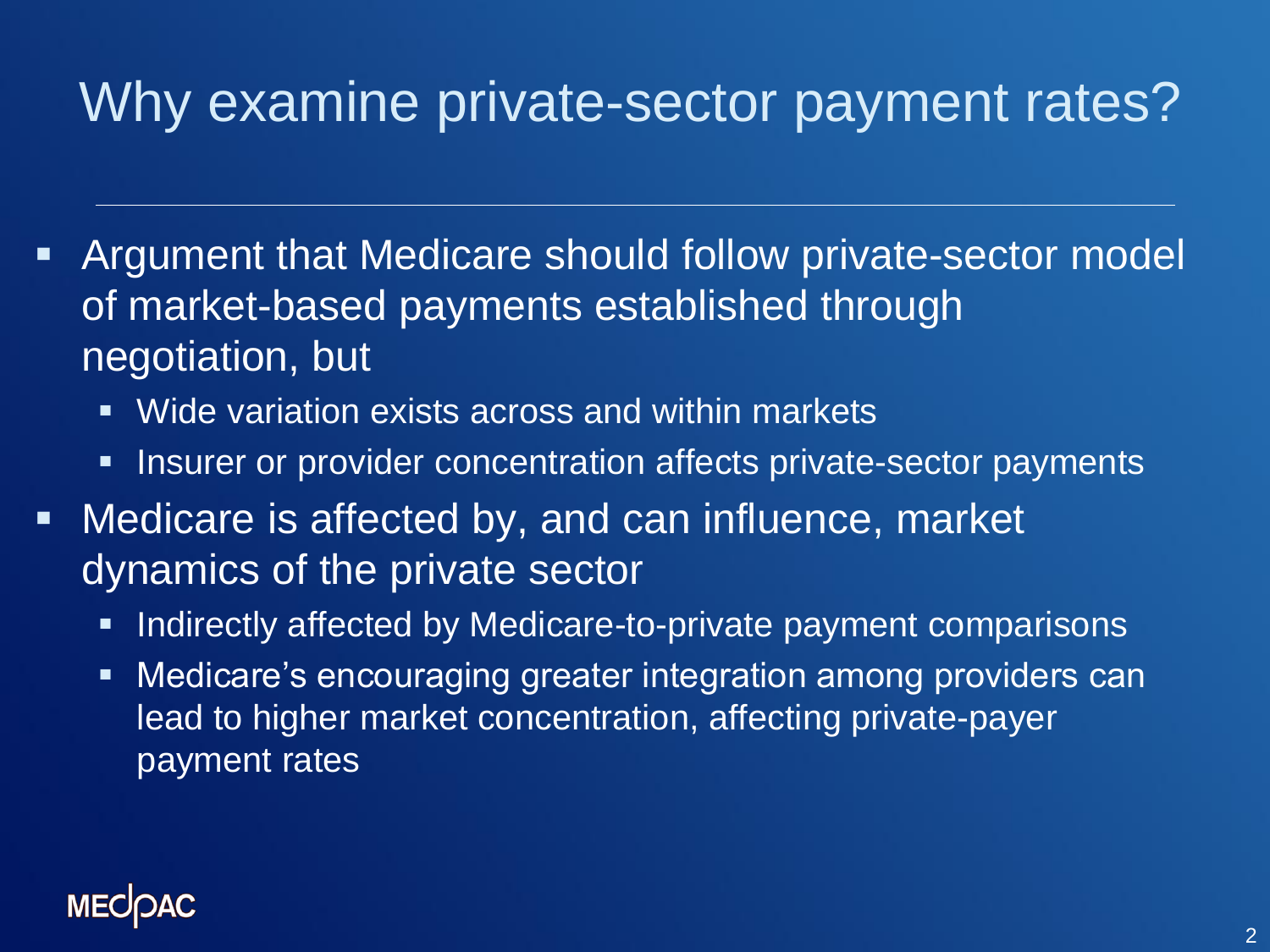# Why examine private-sector payment rates?

- Argument that Medicare should follow private-sector model of market-based payments established through negotiation, but
	- Wide variation exists across and within markets
	- **Insurer or provider concentration affects private-sector payments**
- **Nedicare is affected by, and can influence, market** dynamics of the private sector
	- Indirectly affected by Medicare-to-private payment comparisons
	- **Medicare's encouraging greater integration among providers can** lead to higher market concentration, affecting private-payer payment rates

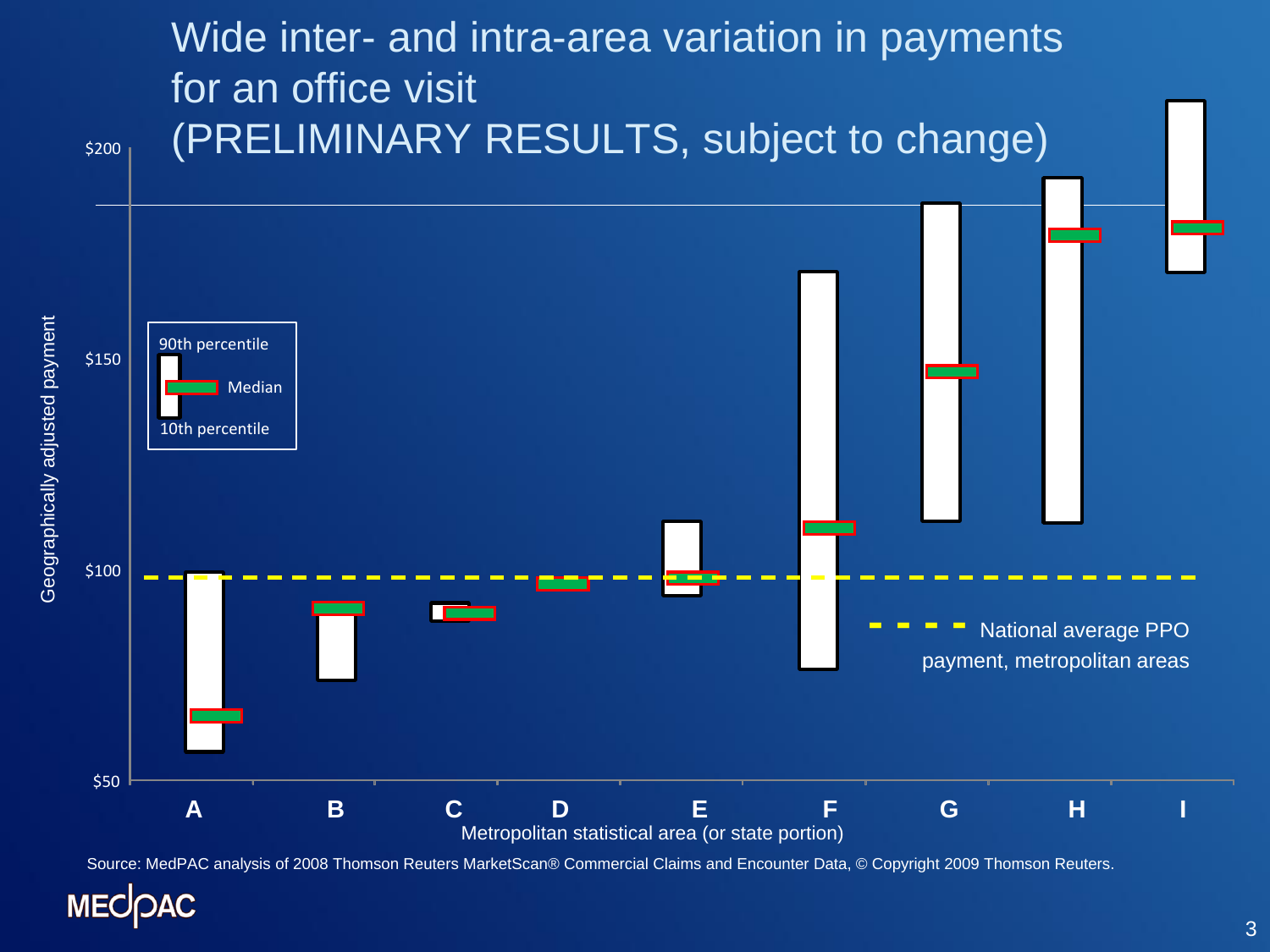

Source: MedPAC analysis of 2008 Thomson Reuters MarketScan® Commercial Claims and Encounter Data, © Copyright 2009 Thomson Reuters.

**MECOAC**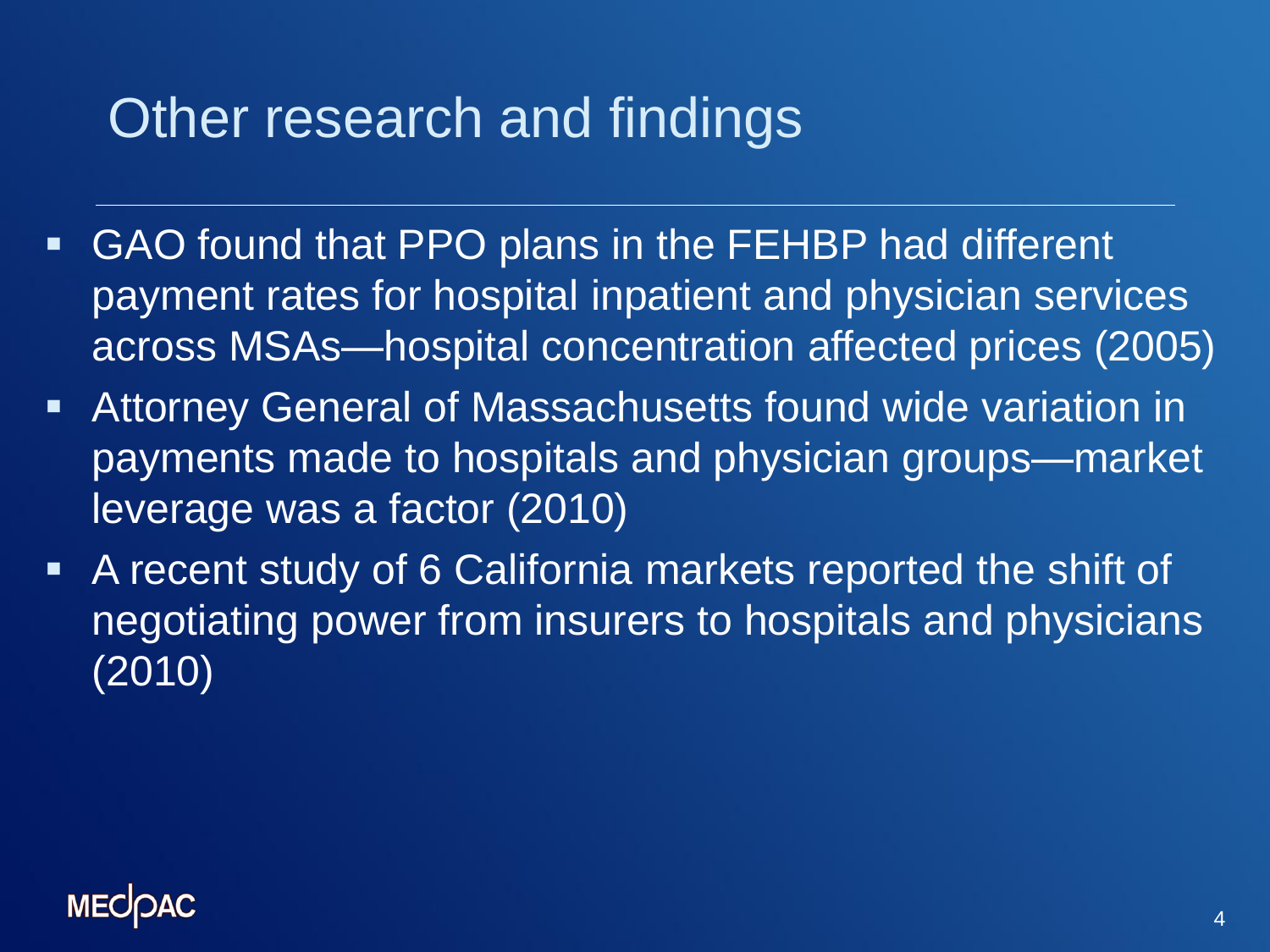# Other research and findings

- GAO found that PPO plans in the FEHBP had different payment rates for hospital inpatient and physician services across MSAs—hospital concentration affected prices (2005)
- Attorney General of Massachusetts found wide variation in payments made to hospitals and physician groups—market leverage was a factor (2010)
- A recent study of 6 California markets reported the shift of negotiating power from insurers to hospitals and physicians (2010)

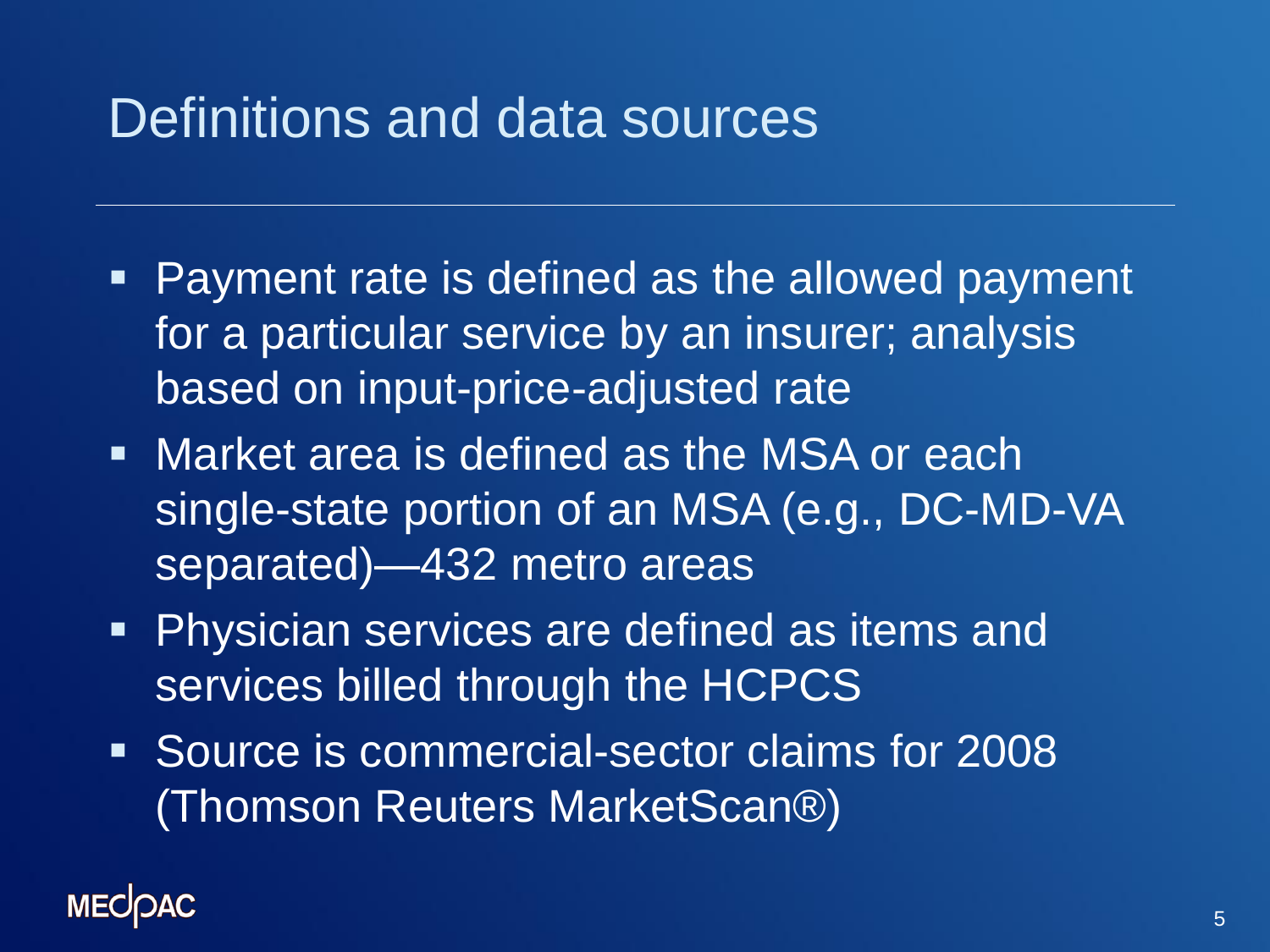## Definitions and data sources

- Payment rate is defined as the allowed payment for a particular service by an insurer; analysis based on input-price-adjusted rate
- **Market area is defined as the MSA or each** single-state portion of an MSA (e.g., DC-MD-VA separated)—432 metro areas
- **Physician services are defined as items and** services billed through the HCPCS
- Source is commercial-sector claims for 2008 (Thomson Reuters MarketScan®)

#### **MECIOAC**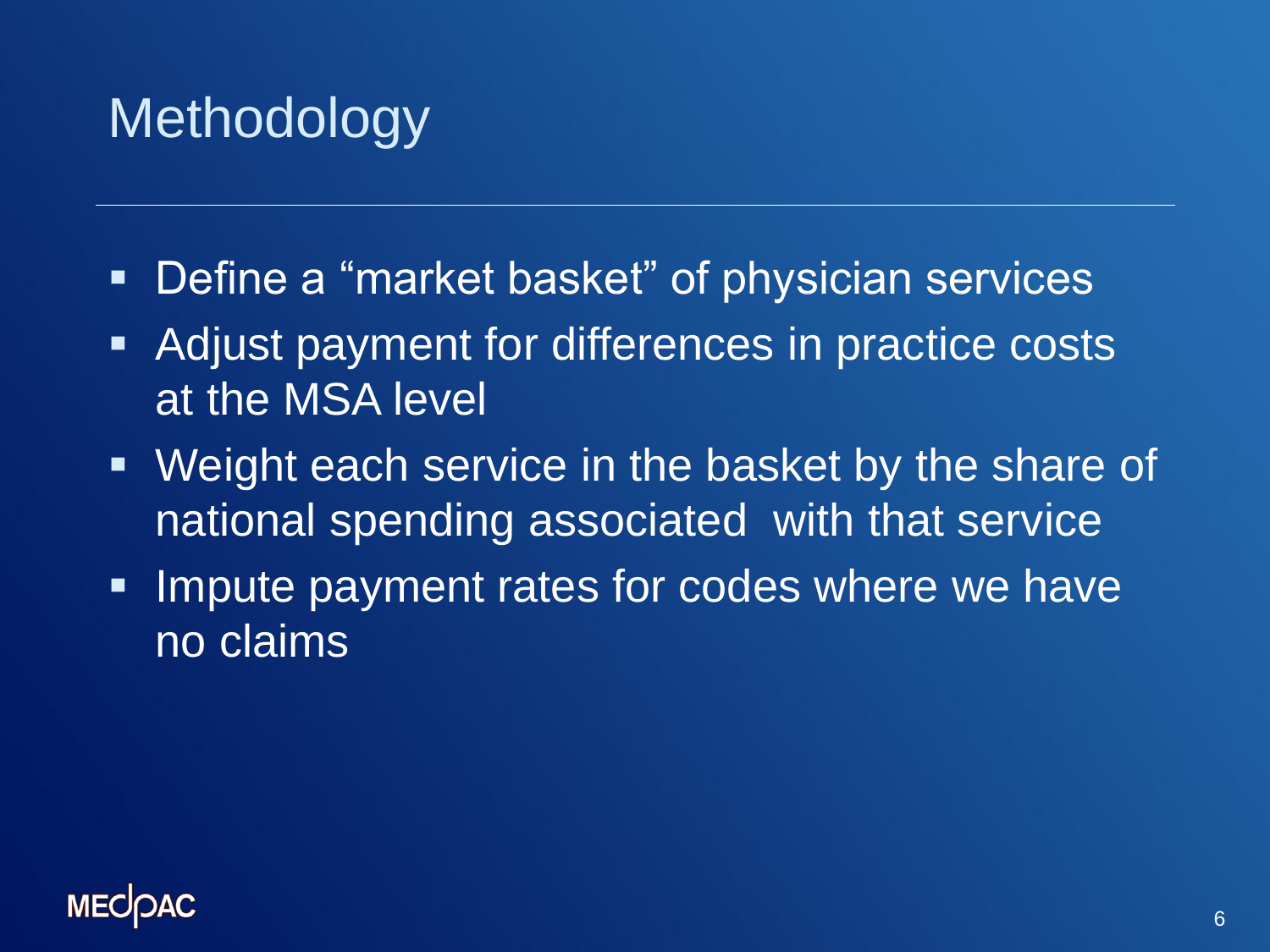# **Methodology**

- Define a "market basket" of physician services
- Adjust payment for differences in practice costs at the MSA level
- Weight each service in the basket by the share of national spending associated with that service
- **Impute payment rates for codes where we have** no claims

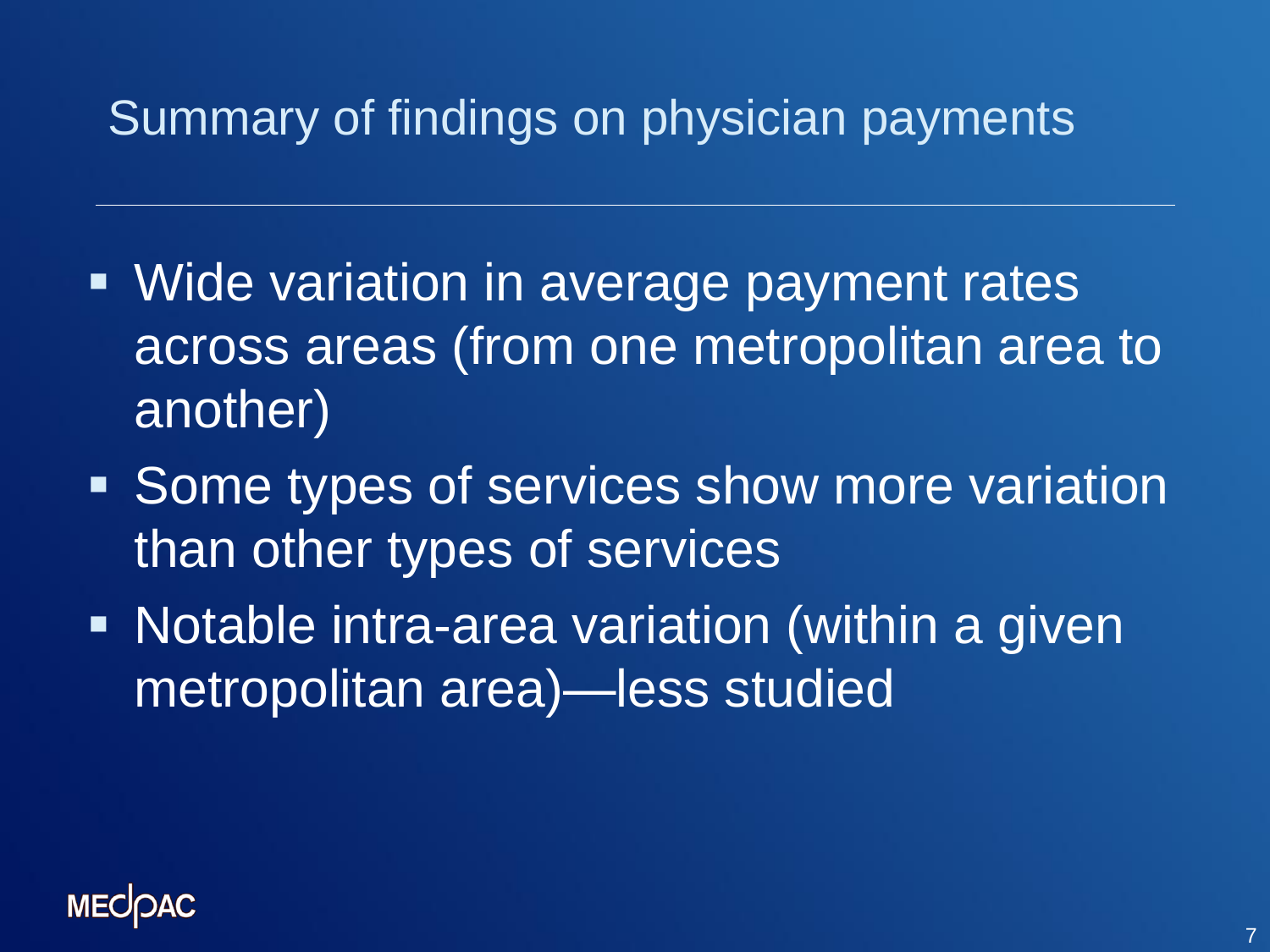### Summary of findings on physician payments

- Wide variation in average payment rates across areas (from one metropolitan area to another)
- **Some types of services show more variation** than other types of services
- **Notable intra-area variation (within a given** metropolitan area)—less studied

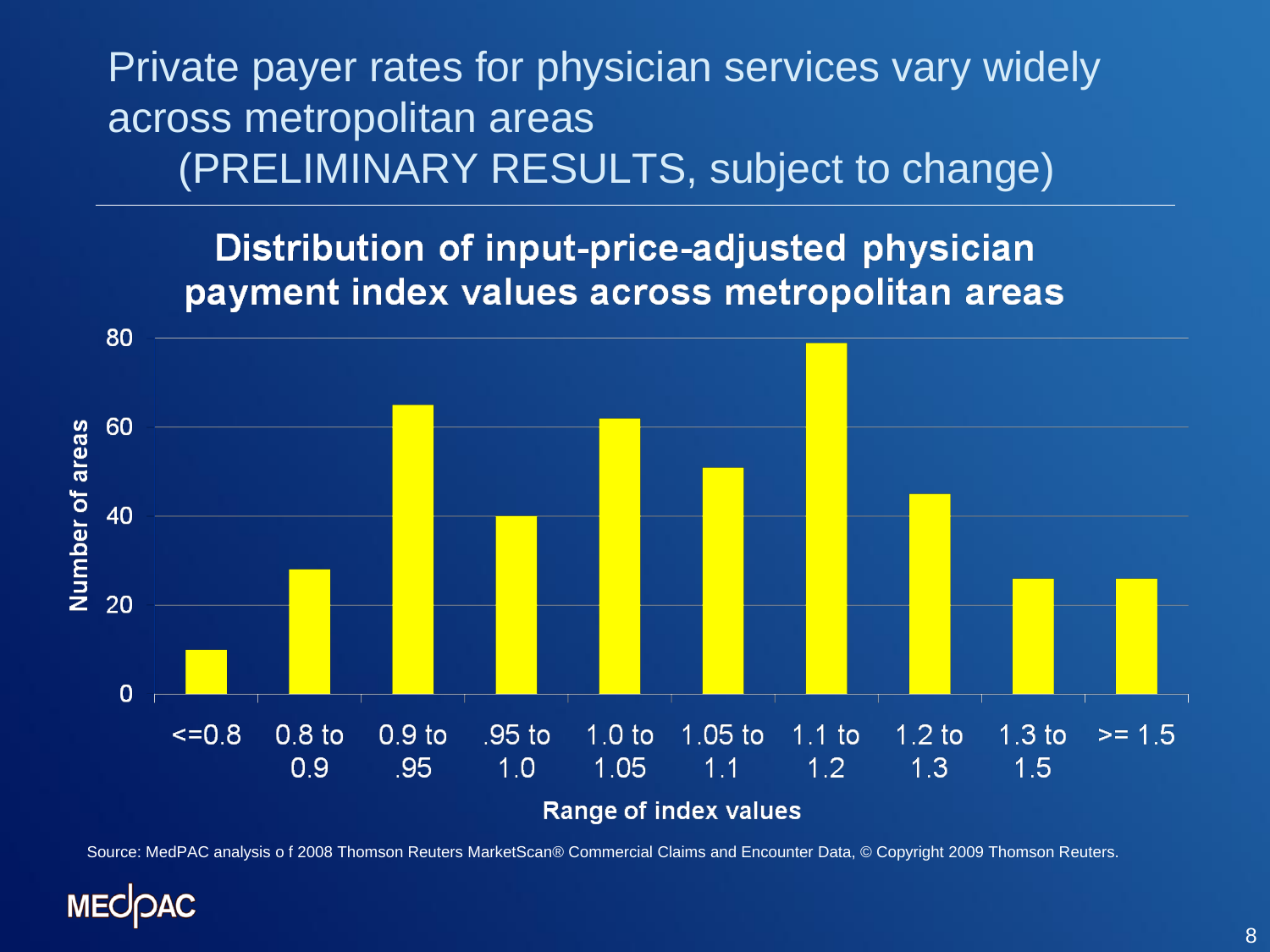Private payer rates for physician services vary widely across metropolitan areas (PRELIMINARY RESULTS, subject to change)

#### Distribution of input-price-adjusted physician payment index values across metropolitan areas



Source: MedPAC analysis o f 2008 Thomson Reuters MarketScan® Commercial Claims and Encounter Data, © Copyright 2009 Thomson Reuters.

### **MECK**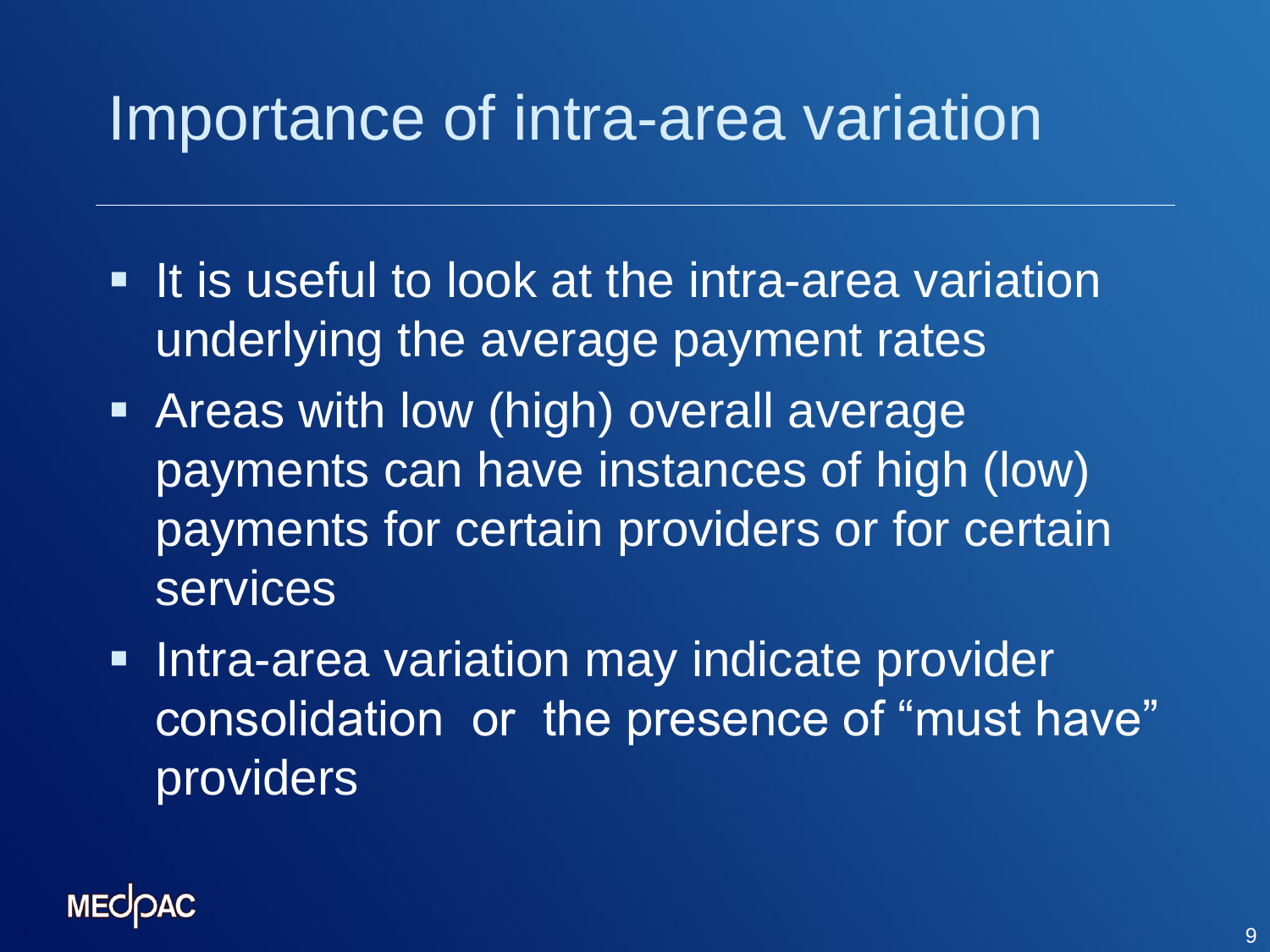# Importance of intra-area variation

- **If is useful to look at the intra-area variation** underlying the average payment rates
- Areas with low (high) overall average payments can have instances of high (low) payments for certain providers or for certain services
- **Intra-area variation may indicate provider** consolidation or the presence of "must have" providers

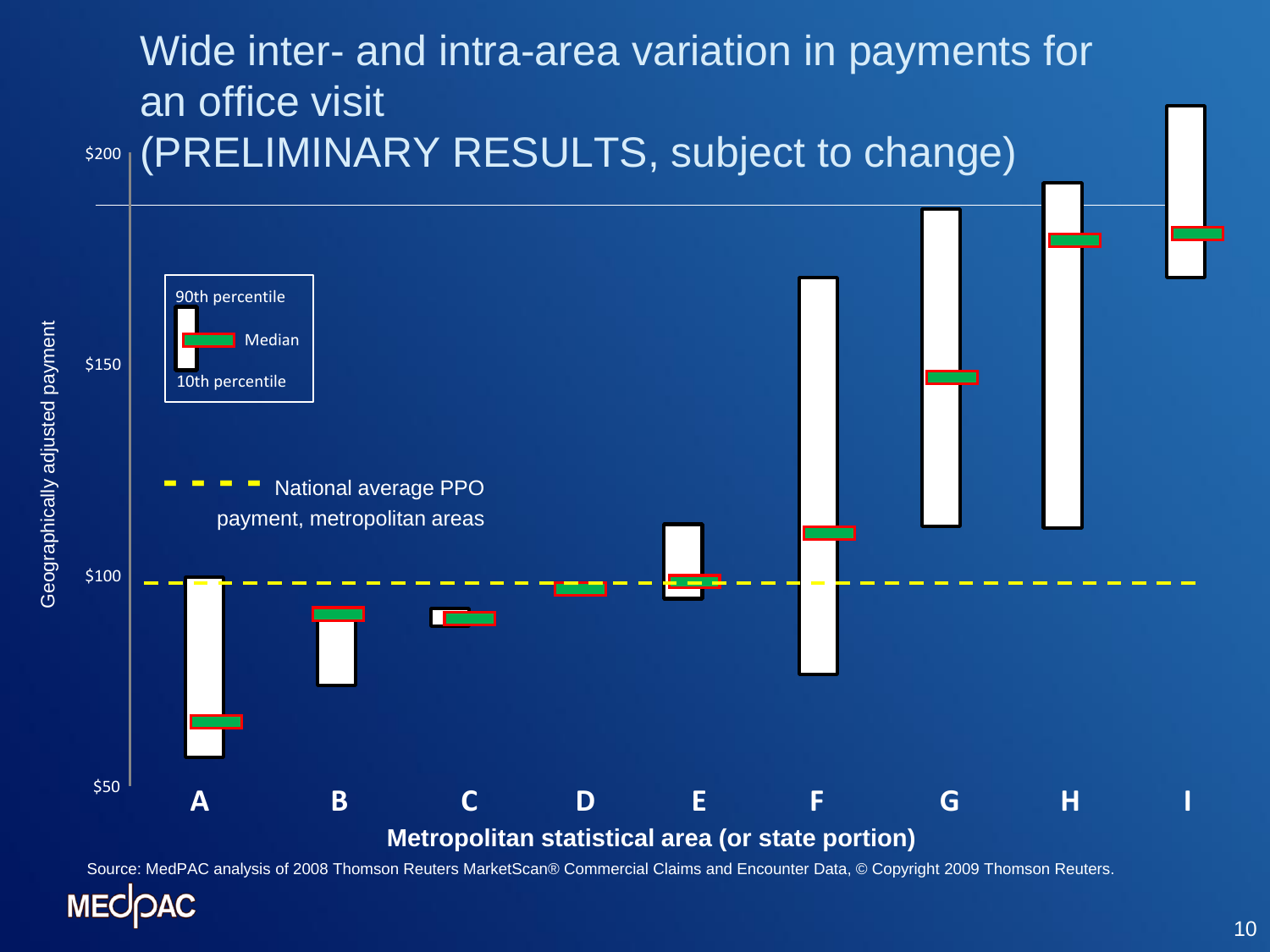

Source: MedPAC analysis of 2008 Thomson Reuters MarketScan® Commercial Claims and Encounter Data, © Copyright 2009 Thomson Reuters.

**MEC** 

Geographically adjusted payment

Geographically adjusted payment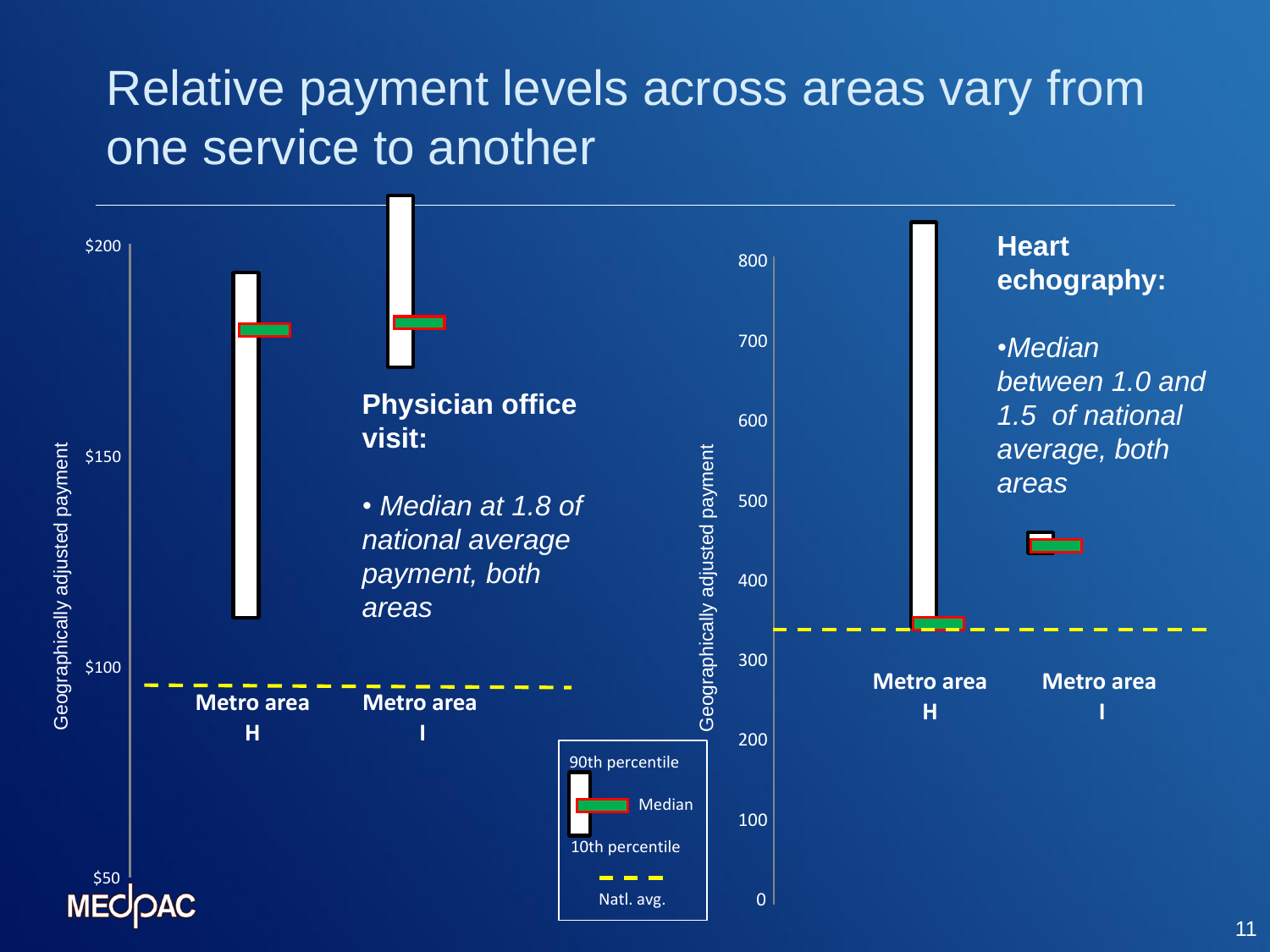### Relative payment levels across areas vary from one service to another